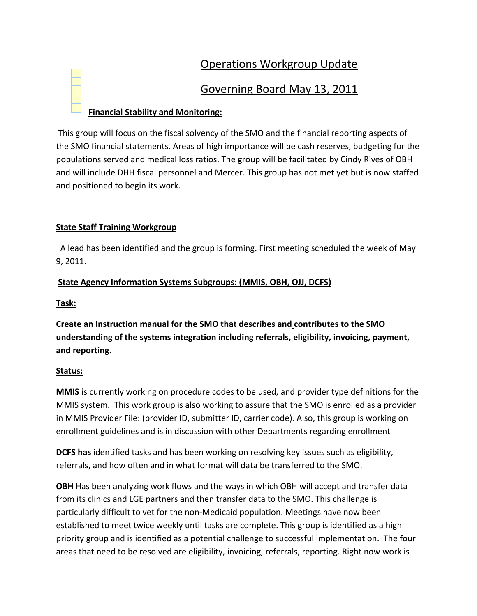# Operations Workgroup Update

## Governing Board May 13, 2011

## **Financial Stability and Monitoring:**

This group will focus on the fiscal solvency of the SMO and the financial reporting aspects of the SMO financial statements. Areas of high importance will be cash reserves, budgeting for the populations served and medical loss ratios. The group will be facilitated by Cindy Rives of OBH and will include DHH fiscal personnel and Mercer. This group has not met yet but is now staffed and positioned to begin its work.

## **State Staff Training Workgroup**

 A lead has been identified and the group is forming. First meeting scheduled the week of May 9, 2011.

## **State Agency Information Systems Subgroups: (MMIS, OBH, OJJ, DCFS)**

### **Task:**

**Create an Instruction manual for the SMO that describes and contributes to the SMO understanding of the systems integration including referrals, eligibility, invoicing, payment, and reporting.**

## **Status:**

**MMIS** is currently working on procedure codes to be used, and provider type definitions for the MMIS system. This work group is also working to assure that the SMO is enrolled as a provider in MMIS Provider File: (provider ID, submitter ID, carrier code). Also, this group is working on enrollment guidelines and is in discussion with other Departments regarding enrollment

**DCFS has** identified tasks and has been working on resolving key issues such as eligibility, referrals, and how often and in what format will data be transferred to the SMO.

**OBH** Has been analyzing work flows and the ways in which OBH will accept and transfer data from its clinics and LGE partners and then transfer data to the SMO. This challenge is particularly difficult to vet for the non-Medicaid population. Meetings have now been established to meet twice weekly until tasks are complete. This group is identified as a high priority group and is identified as a potential challenge to successful implementation. The four areas that need to be resolved are eligibility, invoicing, referrals, reporting. Right now work is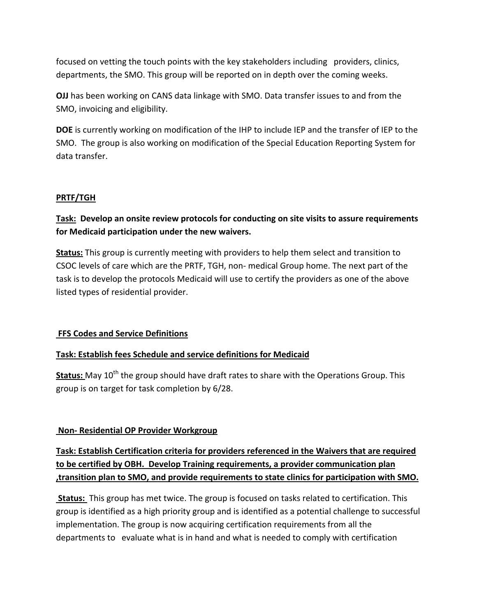focused on vetting the touch points with the key stakeholders including providers, clinics, departments, the SMO. This group will be reported on in depth over the coming weeks.

**OJJ** has been working on CANS data linkage with SMO. Data transfer issues to and from the SMO, invoicing and eligibility.

**DOE** is currently working on modification of the IHP to include IEP and the transfer of IEP to the SMO.The group is also working on modification of the Special Education Reporting System for data transfer.

#### **PRTF/TGH**

## **Task: Develop an onsite review protocols for conducting on site visits to assure requirements for Medicaid participation under the new waivers.**

**Status:** This group is currently meeting with providers to help them select and transition to CSOC levels of care which are the PRTF, TGH, non‐ medical Group home. The next part of the task is to develop the protocols Medicaid will use to certify the providers as one of the above listed types of residential provider.

#### **FFS Codes and Service Definitions**

#### **Task: Establish fees Schedule and service definitions for Medicaid**

Status: May 10<sup>th</sup> the group should have draft rates to share with the Operations Group. This group is on target for task completion by 6/28.

#### **Non‐ Residential OP Provider Workgroup**

## **Task: Establish Certification criteria for providers referenced in the Waivers that are required to be certified by OBH. Develop Training requirements, a provider communication plan ,transition plan to SMO, and provide requirements to state clinics for participation with SMO.**

**Status:** This group has met twice. The group is focused on tasks related to certification. This group is identified as a high priority group and is identified as a potential challenge to successful implementation. The group is now acquiring certification requirements from all the departments to evaluate what is in hand and what is needed to comply with certification